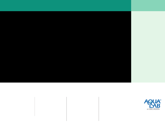WVolatiles Sensor Measure samples with volatiles like propylene glycol without worrying about effects on the dew point sensor.

- $n$  Accurate  $\pm 0.003$   $a_w$  dewpoint  $\pm 0.015$  a<sub>w</sub> capacitance
- $"$  Veri able  $$ with independent salt standards.
- " Repeatable different users, different locations, same result.
- $n$ . Easy to use  $$ precise measurements with minimal training.

# DEW POINT AND CAPACITANCE SENSORS IN ONE INSTRUMENT Simply Measure  $a_w$  Even with Volatile Substances

U sing dew point<br>sensors to measure water activity is easy, fast, and accurate. But, volatile substances can interfere with good readings. The AquaLab 4TEV solves this problem by offering both dew point and capacitance water activity sensors on one instrument

## Easy Switch

You can change between capacitance and dew point sensors before taking a reading. This is done in a menu on the AquaLab's screen, and takes about 5 seconds.

#### Test Volatiles Effects

A sample may contain an ingredient like glycerol that is volatile, but doesn't negatively effect the dew point sensor. Having both sensors allows you to know which samples could present a problem. Simply test if the readings are the same.

#### Uses in R&D

Many times R&D labs are asked to test new FORMULATIONSANDÛAVORS in the course of product development. Having both sensors on one instrument can prepare your R&D group for the wide variety of samples they test.  $\mathbf{u}$ 



2365 NE Hopkins Court Pullman, Washington 99163 509-332-2756 www.wateractivity.com